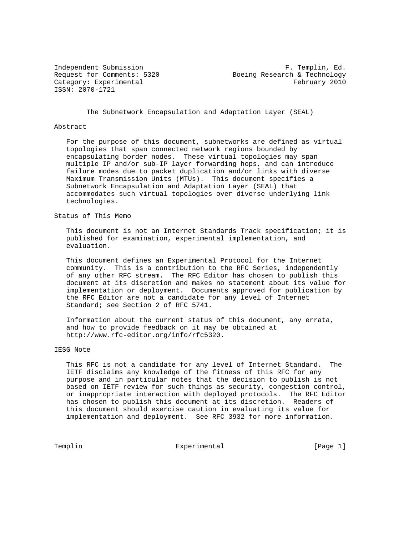ISSN: 2070-1721

Independent Submission and The Submission F. Templin, Ed.<br>Request for Comments: 5320 Boeing Research & Technology Boeing Research & Technology Category: Experimental experimental and the set of the February 2010

The Subnetwork Encapsulation and Adaptation Layer (SEAL)

### Abstract

 For the purpose of this document, subnetworks are defined as virtual topologies that span connected network regions bounded by encapsulating border nodes. These virtual topologies may span multiple IP and/or sub-IP layer forwarding hops, and can introduce failure modes due to packet duplication and/or links with diverse Maximum Transmission Units (MTUs). This document specifies a Subnetwork Encapsulation and Adaptation Layer (SEAL) that accommodates such virtual topologies over diverse underlying link technologies.

Status of This Memo

 This document is not an Internet Standards Track specification; it is published for examination, experimental implementation, and evaluation.

 This document defines an Experimental Protocol for the Internet community. This is a contribution to the RFC Series, independently of any other RFC stream. The RFC Editor has chosen to publish this document at its discretion and makes no statement about its value for implementation or deployment. Documents approved for publication by the RFC Editor are not a candidate for any level of Internet Standard; see Section 2 of RFC 5741.

 Information about the current status of this document, any errata, and how to provide feedback on it may be obtained at http://www.rfc-editor.org/info/rfc5320.

## IESG Note

 This RFC is not a candidate for any level of Internet Standard. The IETF disclaims any knowledge of the fitness of this RFC for any purpose and in particular notes that the decision to publish is not based on IETF review for such things as security, congestion control, or inappropriate interaction with deployed protocols. The RFC Editor has chosen to publish this document at its discretion. Readers of this document should exercise caution in evaluating its value for implementation and deployment. See RFC 3932 for more information.

Templin **Experimental** Experimental [Page 1]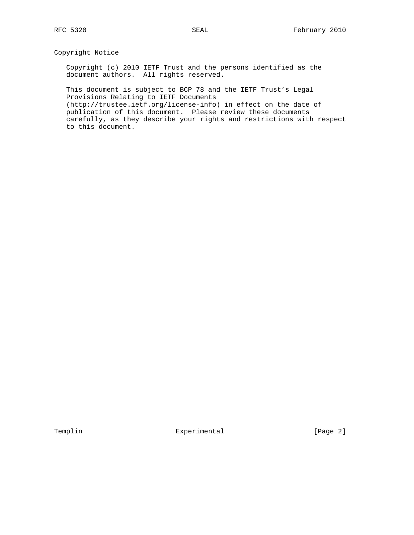# Copyright Notice

 Copyright (c) 2010 IETF Trust and the persons identified as the document authors. All rights reserved.

 This document is subject to BCP 78 and the IETF Trust's Legal Provisions Relating to IETF Documents (http://trustee.ietf.org/license-info) in effect on the date of publication of this document. Please review these documents carefully, as they describe your rights and restrictions with respect to this document.

Templin  $\Box$  Experimental [Page 2]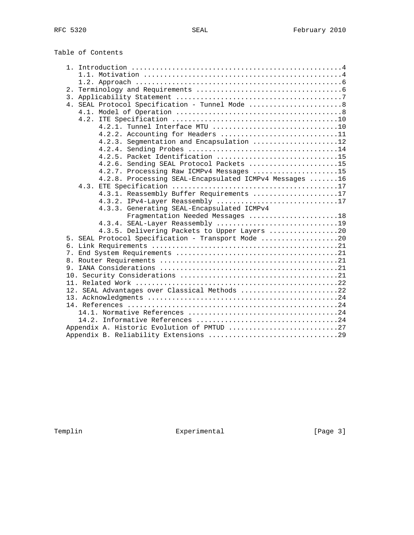Table of Contents

|  | 4. SEAL Protocol Specification - Tunnel Mode 8         |  |
|--|--------------------------------------------------------|--|
|  |                                                        |  |
|  |                                                        |  |
|  | 4.2.1. Tunnel Interface MTU 10                         |  |
|  | 4.2.2. Accounting for Headers 11                       |  |
|  | 4.2.3. Segmentation and Encapsulation 12               |  |
|  |                                                        |  |
|  | 4.2.5. Packet Identification 15                        |  |
|  | 4.2.6. Sending SEAL Protocol Packets 15                |  |
|  | 4.2.7. Processing Raw ICMPv4 Messages 15               |  |
|  | 4.2.8. Processing SEAL-Encapsulated ICMPv4 Messages 16 |  |
|  |                                                        |  |
|  | 4.3.1. Reassembly Buffer Requirements 17               |  |
|  | 4.3.2. IPv4-Layer Reassembly 17                        |  |
|  | 4.3.3. Generating SEAL-Encapsulated ICMPv4             |  |
|  | Fragmentation Needed Messages 18                       |  |
|  |                                                        |  |
|  | 4.3.5. Delivering Packets to Upper Layers 20           |  |
|  | 5. SEAL Protocol Specification - Transport Mode 20     |  |
|  |                                                        |  |
|  |                                                        |  |
|  |                                                        |  |
|  |                                                        |  |
|  |                                                        |  |
|  |                                                        |  |
|  | 12. SEAL Advantages over Classical Methods 22          |  |
|  |                                                        |  |
|  |                                                        |  |
|  |                                                        |  |
|  |                                                        |  |
|  | Appendix A. Historic Evolution of PMTUD 27             |  |
|  |                                                        |  |

Templin Experimental Experimental [Page 3]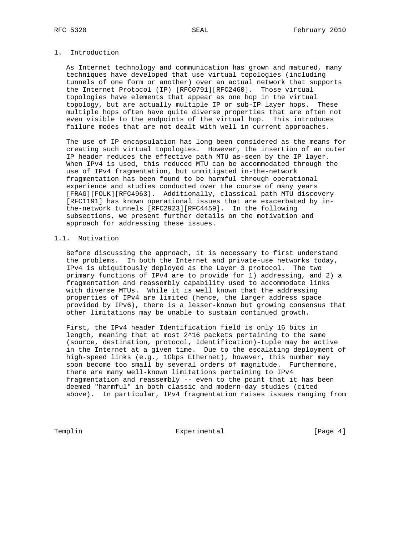# 1. Introduction

 As Internet technology and communication has grown and matured, many techniques have developed that use virtual topologies (including tunnels of one form or another) over an actual network that supports the Internet Protocol (IP) [RFC0791][RFC2460]. Those virtual topologies have elements that appear as one hop in the virtual topology, but are actually multiple IP or sub-IP layer hops. These multiple hops often have quite diverse properties that are often not even visible to the endpoints of the virtual hop. This introduces failure modes that are not dealt with well in current approaches.

 The use of IP encapsulation has long been considered as the means for creating such virtual topologies. However, the insertion of an outer IP header reduces the effective path MTU as-seen by the IP layer. When IPv4 is used, this reduced MTU can be accommodated through the use of IPv4 fragmentation, but unmitigated in-the-network fragmentation has been found to be harmful through operational experience and studies conducted over the course of many years [FRAG][FOLK][RFC4963]. Additionally, classical path MTU discovery [RFC1191] has known operational issues that are exacerbated by in the-network tunnels [RFC2923][RFC4459]. In the following subsections, we present further details on the motivation and approach for addressing these issues.

## 1.1. Motivation

 Before discussing the approach, it is necessary to first understand the problems. In both the Internet and private-use networks today, IPv4 is ubiquitously deployed as the Layer 3 protocol. The two primary functions of IPv4 are to provide for 1) addressing, and 2) a fragmentation and reassembly capability used to accommodate links with diverse MTUs. While it is well known that the addressing properties of IPv4 are limited (hence, the larger address space provided by IPv6), there is a lesser-known but growing consensus that other limitations may be unable to sustain continued growth.

 First, the IPv4 header Identification field is only 16 bits in length, meaning that at most 2^16 packets pertaining to the same (source, destination, protocol, Identification)-tuple may be active in the Internet at a given time. Due to the escalating deployment of high-speed links (e.g., 1Gbps Ethernet), however, this number may soon become too small by several orders of magnitude. Furthermore, there are many well-known limitations pertaining to IPv4 fragmentation and reassembly -- even to the point that it has been deemed "harmful" in both classic and modern-day studies (cited above). In particular, IPv4 fragmentation raises issues ranging from

Templin Experimental Experimental [Page 4]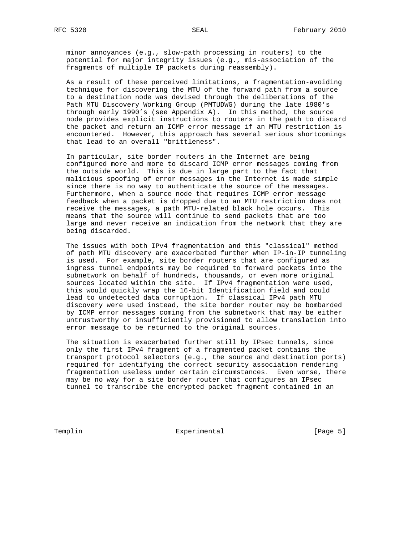minor annoyances (e.g., slow-path processing in routers) to the potential for major integrity issues (e.g., mis-association of the fragments of multiple IP packets during reassembly).

 As a result of these perceived limitations, a fragmentation-avoiding technique for discovering the MTU of the forward path from a source to a destination node was devised through the deliberations of the Path MTU Discovery Working Group (PMTUDWG) during the late 1980's through early 1990's (see Appendix A). In this method, the source node provides explicit instructions to routers in the path to discard the packet and return an ICMP error message if an MTU restriction is encountered. However, this approach has several serious shortcomings that lead to an overall "brittleness".

 In particular, site border routers in the Internet are being configured more and more to discard ICMP error messages coming from the outside world. This is due in large part to the fact that malicious spoofing of error messages in the Internet is made simple since there is no way to authenticate the source of the messages. Furthermore, when a source node that requires ICMP error message feedback when a packet is dropped due to an MTU restriction does not receive the messages, a path MTU-related black hole occurs. This means that the source will continue to send packets that are too large and never receive an indication from the network that they are being discarded.

 The issues with both IPv4 fragmentation and this "classical" method of path MTU discovery are exacerbated further when IP-in-IP tunneling is used. For example, site border routers that are configured as ingress tunnel endpoints may be required to forward packets into the subnetwork on behalf of hundreds, thousands, or even more original sources located within the site. If IPv4 fragmentation were used, this would quickly wrap the 16-bit Identification field and could lead to undetected data corruption. If classical IPv4 path MTU discovery were used instead, the site border router may be bombarded by ICMP error messages coming from the subnetwork that may be either untrustworthy or insufficiently provisioned to allow translation into error message to be returned to the original sources.

 The situation is exacerbated further still by IPsec tunnels, since only the first IPv4 fragment of a fragmented packet contains the transport protocol selectors (e.g., the source and destination ports) required for identifying the correct security association rendering fragmentation useless under certain circumstances. Even worse, there may be no way for a site border router that configures an IPsec tunnel to transcribe the encrypted packet fragment contained in an

Templin Experimental Experimental [Page 5]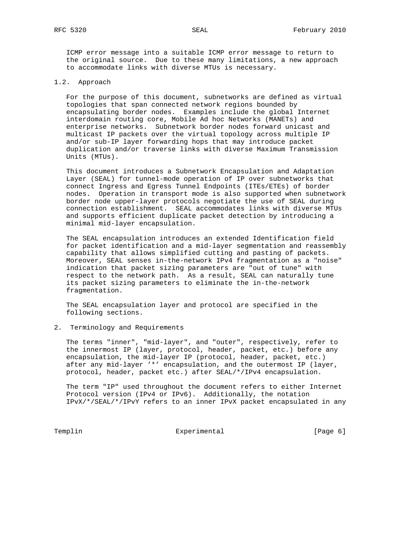ICMP error message into a suitable ICMP error message to return to the original source. Due to these many limitations, a new approach to accommodate links with diverse MTUs is necessary.

## 1.2. Approach

 For the purpose of this document, subnetworks are defined as virtual topologies that span connected network regions bounded by encapsulating border nodes. Examples include the global Internet interdomain routing core, Mobile Ad hoc Networks (MANETs) and enterprise networks. Subnetwork border nodes forward unicast and multicast IP packets over the virtual topology across multiple IP and/or sub-IP layer forwarding hops that may introduce packet duplication and/or traverse links with diverse Maximum Transmission Units (MTUs).

 This document introduces a Subnetwork Encapsulation and Adaptation Layer (SEAL) for tunnel-mode operation of IP over subnetworks that connect Ingress and Egress Tunnel Endpoints (ITEs/ETEs) of border nodes. Operation in transport mode is also supported when subnetwork border node upper-layer protocols negotiate the use of SEAL during connection establishment. SEAL accommodates links with diverse MTUs and supports efficient duplicate packet detection by introducing a minimal mid-layer encapsulation.

 The SEAL encapsulation introduces an extended Identification field for packet identification and a mid-layer segmentation and reassembly capability that allows simplified cutting and pasting of packets. Moreover, SEAL senses in-the-network IPv4 fragmentation as a "noise" indication that packet sizing parameters are "out of tune" with respect to the network path. As a result, SEAL can naturally tune its packet sizing parameters to eliminate the in-the-network fragmentation.

 The SEAL encapsulation layer and protocol are specified in the following sections.

#### 2. Terminology and Requirements

 The terms "inner", "mid-layer", and "outer", respectively, refer to the innermost IP (layer, protocol, header, packet, etc.) before any encapsulation, the mid-layer IP (protocol, header, packet, etc.) after any mid-layer '\*' encapsulation, and the outermost IP (layer, protocol, header, packet etc.) after SEAL/\*/IPv4 encapsulation.

 The term "IP" used throughout the document refers to either Internet Protocol version (IPv4 or IPv6). Additionally, the notation IPvX/\*/SEAL/\*/IPvY refers to an inner IPvX packet encapsulated in any

Templin Experimental Experimental [Page 6]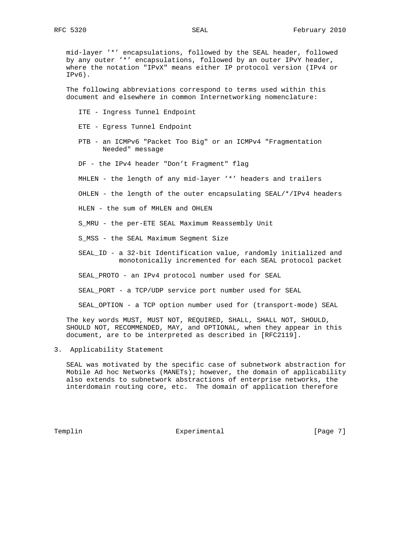mid-layer '\*' encapsulations, followed by the SEAL header, followed by any outer '\*' encapsulations, followed by an outer IPvY header, where the notation "IPvX" means either IP protocol version (IPv4 or IPv6).

 The following abbreviations correspond to terms used within this document and elsewhere in common Internetworking nomenclature:

- ITE Ingress Tunnel Endpoint
- ETE Egress Tunnel Endpoint
- PTB an ICMPv6 "Packet Too Big" or an ICMPv4 "Fragmentation Needed" message
- DF the IPv4 header "Don't Fragment" flag
- MHLEN the length of any mid-layer '\*' headers and trailers
- OHLEN the length of the outer encapsulating SEAL/\*/IPv4 headers
- HLEN the sum of MHLEN and OHLEN
- S\_MRU the per-ETE SEAL Maximum Reassembly Unit
- S\_MSS the SEAL Maximum Segment Size
- SEAL\_ID a 32-bit Identification value, randomly initialized and monotonically incremented for each SEAL protocol packet
- SEAL\_PROTO an IPv4 protocol number used for SEAL
- SEAL\_PORT a TCP/UDP service port number used for SEAL
- SEAL\_OPTION a TCP option number used for (transport-mode) SEAL

 The key words MUST, MUST NOT, REQUIRED, SHALL, SHALL NOT, SHOULD, SHOULD NOT, RECOMMENDED, MAY, and OPTIONAL, when they appear in this document, are to be interpreted as described in [RFC2119].

3. Applicability Statement

 SEAL was motivated by the specific case of subnetwork abstraction for Mobile Ad hoc Networks (MANETs); however, the domain of applicability also extends to subnetwork abstractions of enterprise networks, the interdomain routing core, etc. The domain of application therefore

Templin **Experimental** Experimental [Page 7]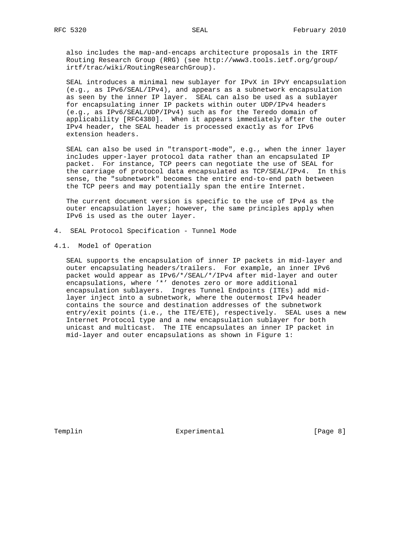also includes the map-and-encaps architecture proposals in the IRTF Routing Research Group (RRG) (see http://www3.tools.ietf.org/group/ irtf/trac/wiki/RoutingResearchGroup).

 SEAL introduces a minimal new sublayer for IPvX in IPvY encapsulation (e.g., as IPv6/SEAL/IPv4), and appears as a subnetwork encapsulation as seen by the inner IP layer. SEAL can also be used as a sublayer for encapsulating inner IP packets within outer UDP/IPv4 headers (e.g., as IPv6/SEAL/UDP/IPv4) such as for the Teredo domain of applicability [RFC4380]. When it appears immediately after the outer IPv4 header, the SEAL header is processed exactly as for IPv6 extension headers.

 SEAL can also be used in "transport-mode", e.g., when the inner layer includes upper-layer protocol data rather than an encapsulated IP packet. For instance, TCP peers can negotiate the use of SEAL for the carriage of protocol data encapsulated as TCP/SEAL/IPv4. In this sense, the "subnetwork" becomes the entire end-to-end path between the TCP peers and may potentially span the entire Internet.

 The current document version is specific to the use of IPv4 as the outer encapsulation layer; however, the same principles apply when IPv6 is used as the outer layer.

- 4. SEAL Protocol Specification Tunnel Mode
- 4.1. Model of Operation

 SEAL supports the encapsulation of inner IP packets in mid-layer and outer encapsulating headers/trailers. For example, an inner IPv6 packet would appear as IPv6/\*/SEAL/\*/IPv4 after mid-layer and outer encapsulations, where '\*' denotes zero or more additional encapsulation sublayers. Ingres Tunnel Endpoints (ITEs) add mid layer inject into a subnetwork, where the outermost IPv4 header contains the source and destination addresses of the subnetwork entry/exit points (i.e., the ITE/ETE), respectively. SEAL uses a new Internet Protocol type and a new encapsulation sublayer for both unicast and multicast. The ITE encapsulates an inner IP packet in mid-layer and outer encapsulations as shown in Figure 1:

Templin **Experimental** Experimental [Page 8]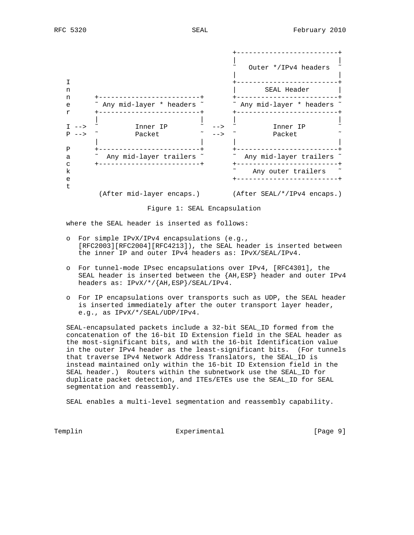

Figure 1: SEAL Encapsulation

where the SEAL header is inserted as follows:

- o For simple IPvX/IPv4 encapsulations (e.g., [RFC2003][RFC2004][RFC4213]), the SEAL header is inserted between the inner IP and outer IPv4 headers as: IPvX/SEAL/IPv4.
- o For tunnel-mode IPsec encapsulations over IPv4, [RFC4301], the SEAL header is inserted between the {AH,ESP} header and outer IPv4 headers as: IPvX/\*/{AH,ESP}/SEAL/IPv4.
- o For IP encapsulations over transports such as UDP, the SEAL header is inserted immediately after the outer transport layer header, e.g., as IPvX/\*/SEAL/UDP/IPv4.

 SEAL-encapsulated packets include a 32-bit SEAL\_ID formed from the concatenation of the 16-bit ID Extension field in the SEAL header as the most-significant bits, and with the 16-bit Identification value in the outer IPv4 header as the least-significant bits. (For tunnels that traverse IPv4 Network Address Translators, the SEAL\_ID is instead maintained only within the 16-bit ID Extension field in the SEAL header.) Routers within the subnetwork use the SEAL\_ID for duplicate packet detection, and ITEs/ETEs use the SEAL\_ID for SEAL segmentation and reassembly.

SEAL enables a multi-level segmentation and reassembly capability.

Templin **Experimental** Experimental [Page 9]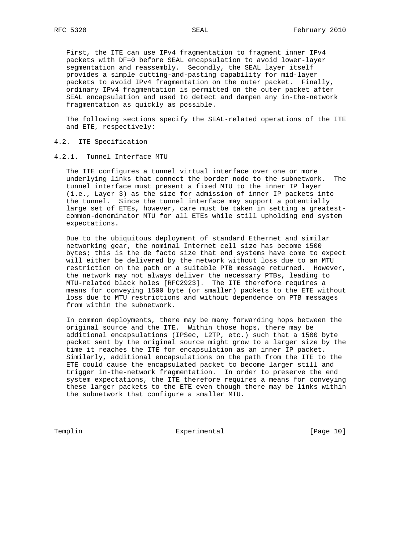First, the ITE can use IPv4 fragmentation to fragment inner IPv4 packets with DF=0 before SEAL encapsulation to avoid lower-layer segmentation and reassembly. Secondly, the SEAL layer itself provides a simple cutting-and-pasting capability for mid-layer packets to avoid IPv4 fragmentation on the outer packet. Finally, ordinary IPv4 fragmentation is permitted on the outer packet after SEAL encapsulation and used to detect and dampen any in-the-network fragmentation as quickly as possible.

 The following sections specify the SEAL-related operations of the ITE and ETE, respectively:

- 4.2. ITE Specification
- 4.2.1. Tunnel Interface MTU

 The ITE configures a tunnel virtual interface over one or more underlying links that connect the border node to the subnetwork. The tunnel interface must present a fixed MTU to the inner IP layer (i.e., Layer 3) as the size for admission of inner IP packets into the tunnel. Since the tunnel interface may support a potentially large set of ETEs, however, care must be taken in setting a greatest common-denominator MTU for all ETEs while still upholding end system expectations.

 Due to the ubiquitous deployment of standard Ethernet and similar networking gear, the nominal Internet cell size has become 1500 bytes; this is the de facto size that end systems have come to expect will either be delivered by the network without loss due to an MTU restriction on the path or a suitable PTB message returned. However, the network may not always deliver the necessary PTBs, leading to MTU-related black holes [RFC2923]. The ITE therefore requires a means for conveying 1500 byte (or smaller) packets to the ETE without loss due to MTU restrictions and without dependence on PTB messages from within the subnetwork.

 In common deployments, there may be many forwarding hops between the original source and the ITE. Within those hops, there may be additional encapsulations (IPSec, L2TP, etc.) such that a 1500 byte packet sent by the original source might grow to a larger size by the time it reaches the ITE for encapsulation as an inner IP packet. Similarly, additional encapsulations on the path from the ITE to the ETE could cause the encapsulated packet to become larger still and trigger in-the-network fragmentation. In order to preserve the end system expectations, the ITE therefore requires a means for conveying these larger packets to the ETE even though there may be links within the subnetwork that configure a smaller MTU.

Templin Experimental [Page 10]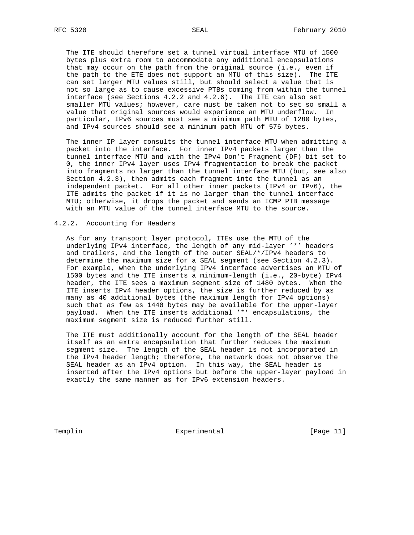The ITE should therefore set a tunnel virtual interface MTU of 1500 bytes plus extra room to accommodate any additional encapsulations that may occur on the path from the original source (i.e., even if the path to the ETE does not support an MTU of this size). The ITE can set larger MTU values still, but should select a value that is not so large as to cause excessive PTBs coming from within the tunnel interface (see Sections 4.2.2 and 4.2.6). The ITE can also set smaller MTU values; however, care must be taken not to set so small a value that original sources would experience an MTU underflow. In particular, IPv6 sources must see a minimum path MTU of 1280 bytes, and IPv4 sources should see a minimum path MTU of 576 bytes.

 The inner IP layer consults the tunnel interface MTU when admitting a packet into the interface. For inner IPv4 packets larger than the tunnel interface MTU and with the IPv4 Don't Fragment (DF) bit set to 0, the inner IPv4 layer uses IPv4 fragmentation to break the packet into fragments no larger than the tunnel interface MTU (but, see also Section 4.2.3), then admits each fragment into the tunnel as an independent packet. For all other inner packets (IPv4 or IPv6), the ITE admits the packet if it is no larger than the tunnel interface MTU; otherwise, it drops the packet and sends an ICMP PTB message with an MTU value of the tunnel interface MTU to the source.

## 4.2.2. Accounting for Headers

 As for any transport layer protocol, ITEs use the MTU of the underlying IPv4 interface, the length of any mid-layer '\*' headers and trailers, and the length of the outer SEAL/\*/IPv4 headers to determine the maximum size for a SEAL segment (see Section 4.2.3). For example, when the underlying IPv4 interface advertises an MTU of 1500 bytes and the ITE inserts a minimum-length (i.e., 20-byte) IPv4 header, the ITE sees a maximum segment size of 1480 bytes. When the ITE inserts IPv4 header options, the size is further reduced by as many as 40 additional bytes (the maximum length for IPv4 options) such that as few as 1440 bytes may be available for the upper-layer payload. When the ITE inserts additional '\*' encapsulations, the maximum segment size is reduced further still.

 The ITE must additionally account for the length of the SEAL header itself as an extra encapsulation that further reduces the maximum segment size. The length of the SEAL header is not incorporated in the IPv4 header length; therefore, the network does not observe the SEAL header as an IPv4 option. In this way, the SEAL header is inserted after the IPv4 options but before the upper-layer payload in exactly the same manner as for IPv6 extension headers.

Templin Experimental [Page 11]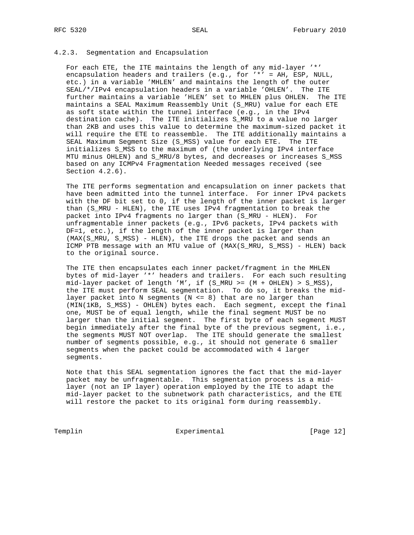## 4.2.3. Segmentation and Encapsulation

 For each ETE, the ITE maintains the length of any mid-layer '\*' encapsulation headers and trailers (e.g., for '\*' = AH, ESP, NULL, etc.) in a variable 'MHLEN' and maintains the length of the outer SEAL/\*/IPv4 encapsulation headers in a variable 'OHLEN'. The ITE further maintains a variable 'HLEN' set to MHLEN plus OHLEN. The ITE maintains a SEAL Maximum Reassembly Unit (S\_MRU) value for each ETE as soft state within the tunnel interface (e.g., in the IPv4 destination cache). The ITE initializes S\_MRU to a value no larger than 2KB and uses this value to determine the maximum-sized packet it will require the ETE to reassemble. The ITE additionally maintains a SEAL Maximum Segment Size (S\_MSS) value for each ETE. The ITE initializes S\_MSS to the maximum of (the underlying IPv4 interface MTU minus OHLEN) and S\_MRU/8 bytes, and decreases or increases S\_MSS based on any ICMPv4 Fragmentation Needed messages received (see Section 4.2.6).

 The ITE performs segmentation and encapsulation on inner packets that have been admitted into the tunnel interface. For inner IPv4 packets with the DF bit set to 0, if the length of the inner packet is larger than (S\_MRU - HLEN), the ITE uses IPv4 fragmentation to break the packet into IPv4 fragments no larger than (S\_MRU - HLEN). For unfragmentable inner packets (e.g., IPv6 packets, IPv4 packets with DF=1, etc.), if the length of the inner packet is larger than (MAX(S\_MRU, S\_MSS) - HLEN), the ITE drops the packet and sends an ICMP PTB message with an MTU value of (MAX(S\_MRU, S\_MSS) - HLEN) back to the original source.

 The ITE then encapsulates each inner packet/fragment in the MHLEN bytes of mid-layer '\*' headers and trailers. For each such resulting  $mid-layer packet of length 'M', if (S_MRU >= (M + OHLEN) > S_MSS),$  the ITE must perform SEAL segmentation. To do so, it breaks the mid layer packet into N seqments ( $N \leq 8$ ) that are no larger than (MIN(1KB, S\_MSS) - OHLEN) bytes each. Each segment, except the final one, MUST be of equal length, while the final segment MUST be no larger than the initial segment. The first byte of each segment MUST begin immediately after the final byte of the previous segment, i.e., the segments MUST NOT overlap. The ITE should generate the smallest number of segments possible, e.g., it should not generate 6 smaller segments when the packet could be accommodated with 4 larger segments.

 Note that this SEAL segmentation ignores the fact that the mid-layer packet may be unfragmentable. This segmentation process is a mid layer (not an IP layer) operation employed by the ITE to adapt the mid-layer packet to the subnetwork path characteristics, and the ETE will restore the packet to its original form during reassembly.

Templin Experimental [Page 12]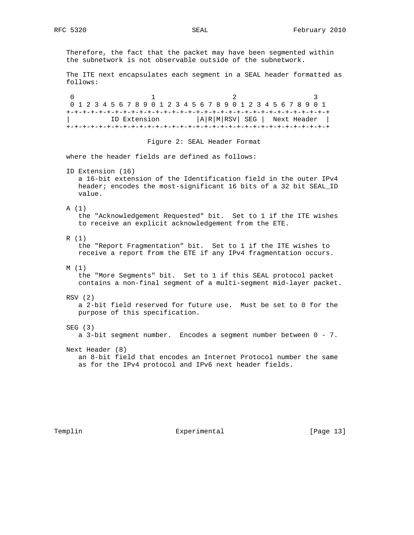Therefore, the fact that the packet may have been segmented within the subnetwork is not observable outside of the subnetwork.

 The ITE next encapsulates each segment in a SEAL header formatted as follows:

0  $1$  2 3 0 1 2 3 4 5 6 7 8 9 0 1 2 3 4 5 6 7 8 9 0 1 2 3 4 5 6 7 8 9 0 1 +-+-+-+-+-+-+-+-+-+-+-+-+-+-+-+-+-+-+-+-+-+-+-+-+-+-+-+-+-+-+-+-+ | ID Extension |A|R|M|RSV| SEG | Next Header | +-+-+-+-+-+-+-+-+-+-+-+-+-+-+-+-+-+-+-+-+-+-+-+-+-+-+-+-+-+-+-+-+

Figure 2: SEAL Header Format

where the header fields are defined as follows:

ID Extension (16)

 a 16-bit extension of the Identification field in the outer IPv4 header; encodes the most-significant 16 bits of a 32 bit SEAL\_ID value.

## A (1)

 the "Acknowledgement Requested" bit. Set to 1 if the ITE wishes to receive an explicit acknowledgement from the ETE.

#### R (1)

 the "Report Fragmentation" bit. Set to 1 if the ITE wishes to receive a report from the ETE if any IPv4 fragmentation occurs.

M (1)

 the "More Segments" bit. Set to 1 if this SEAL protocol packet contains a non-final segment of a multi-segment mid-layer packet.

## RSV (2)

 a 2-bit field reserved for future use. Must be set to 0 for the purpose of this specification.

SEG (3)

a 3-bit segment number. Encodes a segment number between 0 - 7.

Next Header (8)

 an 8-bit field that encodes an Internet Protocol number the same as for the IPv4 protocol and IPv6 next header fields.

Templin **Experimental** Experimental [Page 13]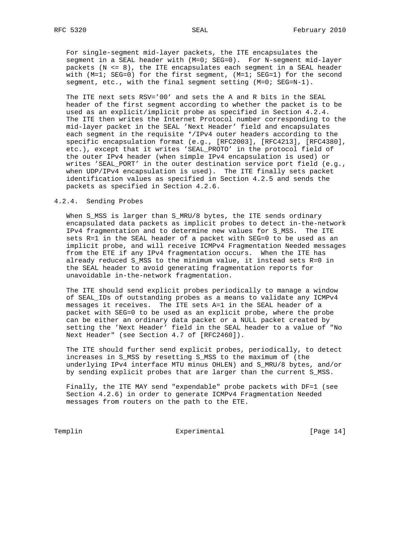For single-segment mid-layer packets, the ITE encapsulates the segment in a SEAL header with (M=0; SEG=0). For N-segment mid-layer packets (N <= 8), the ITE encapsulates each segment in a SEAL header with (M=1; SEG=0) for the first segment, (M=1; SEG=1) for the second segment, etc., with the final segment setting (M=0; SEG=N-1).

 The ITE next sets RSV='00' and sets the A and R bits in the SEAL header of the first segment according to whether the packet is to be used as an explicit/implicit probe as specified in Section 4.2.4. The ITE then writes the Internet Protocol number corresponding to the mid-layer packet in the SEAL 'Next Header' field and encapsulates each segment in the requisite \*/IPv4 outer headers according to the specific encapsulation format (e.g., [RFC2003], [RFC4213], [RFC4380], etc.), except that it writes 'SEAL\_PROTO' in the protocol field of the outer IPv4 header (when simple IPv4 encapsulation is used) or writes 'SEAL\_PORT' in the outer destination service port field (e.g., when UDP/IPv4 encapsulation is used). The ITE finally sets packet identification values as specified in Section 4.2.5 and sends the packets as specified in Section 4.2.6.

#### 4.2.4. Sending Probes

 When S\_MSS is larger than S\_MRU/8 bytes, the ITE sends ordinary encapsulated data packets as implicit probes to detect in-the-network IPv4 fragmentation and to determine new values for S\_MSS. The ITE sets R=1 in the SEAL header of a packet with SEG=0 to be used as an implicit probe, and will receive ICMPv4 Fragmentation Needed messages from the ETE if any IPv4 fragmentation occurs. When the ITE has already reduced S\_MSS to the minimum value, it instead sets R=0 in the SEAL header to avoid generating fragmentation reports for unavoidable in-the-network fragmentation.

 The ITE should send explicit probes periodically to manage a window of SEAL IDs of outstanding probes as a means to validate any ICMPv4 messages it receives. The ITE sets A=1 in the SEAL header of a packet with SEG=0 to be used as an explicit probe, where the probe can be either an ordinary data packet or a NULL packet created by setting the 'Next Header' field in the SEAL header to a value of "No Next Header" (see Section 4.7 of [RFC2460]).

 The ITE should further send explicit probes, periodically, to detect increases in S\_MSS by resetting S\_MSS to the maximum of (the underlying IPv4 interface MTU minus OHLEN) and S\_MRU/8 bytes, and/or by sending explicit probes that are larger than the current S\_MSS.

 Finally, the ITE MAY send "expendable" probe packets with DF=1 (see Section 4.2.6) in order to generate ICMPv4 Fragmentation Needed messages from routers on the path to the ETE.

Templin Experimental [Page 14]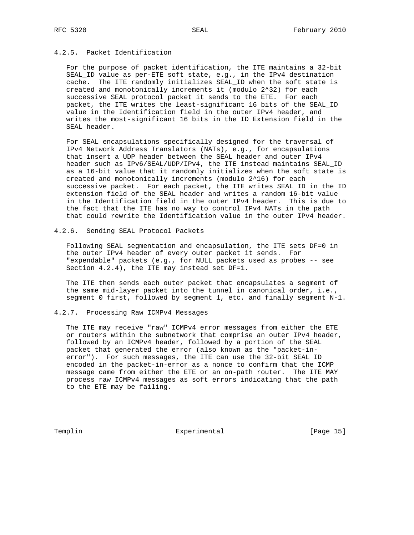# 4.2.5. Packet Identification

 For the purpose of packet identification, the ITE maintains a 32-bit SEAL\_ID value as per-ETE soft state, e.g., in the IPv4 destination cache. The ITE randomly initializes SEAL\_ID when the soft state is created and monotonically increments it (modulo 2^32) for each successive SEAL protocol packet it sends to the ETE. For each packet, the ITE writes the least-significant 16 bits of the SEAL\_ID value in the Identification field in the outer IPv4 header, and writes the most-significant 16 bits in the ID Extension field in the SEAL header.

 For SEAL encapsulations specifically designed for the traversal of IPv4 Network Address Translators (NATs), e.g., for encapsulations that insert a UDP header between the SEAL header and outer IPv4 header such as IPv6/SEAL/UDP/IPv4, the ITE instead maintains SEAL\_ID as a 16-bit value that it randomly initializes when the soft state is created and monotonically increments (modulo 2^16) for each successive packet. For each packet, the ITE writes SEAL\_ID in the ID extension field of the SEAL header and writes a random 16-bit value in the Identification field in the outer IPv4 header. This is due to the fact that the ITE has no way to control IPv4 NATs in the path that could rewrite the Identification value in the outer IPv4 header.

# 4.2.6. Sending SEAL Protocol Packets

 Following SEAL segmentation and encapsulation, the ITE sets DF=0 in the outer IPv4 header of every outer packet it sends. For "expendable" packets (e.g., for NULL packets used as probes -- see Section 4.2.4), the ITE may instead set DF=1.

 The ITE then sends each outer packet that encapsulates a segment of the same mid-layer packet into the tunnel in canonical order, i.e., segment 0 first, followed by segment 1, etc. and finally segment N-1.

## 4.2.7. Processing Raw ICMPv4 Messages

 The ITE may receive "raw" ICMPv4 error messages from either the ETE or routers within the subnetwork that comprise an outer IPv4 header, followed by an ICMPv4 header, followed by a portion of the SEAL packet that generated the error (also known as the "packet-in error"). For such messages, the ITE can use the 32-bit SEAL ID encoded in the packet-in-error as a nonce to confirm that the ICMP message came from either the ETE or an on-path router. The ITE MAY process raw ICMPv4 messages as soft errors indicating that the path to the ETE may be failing.

Templin Experimental Experimental [Page 15]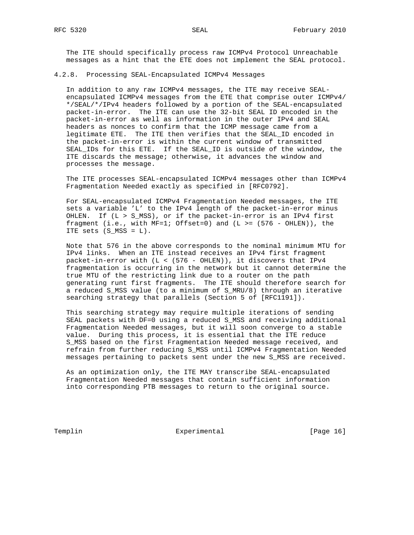The ITE should specifically process raw ICMPv4 Protocol Unreachable messages as a hint that the ETE does not implement the SEAL protocol.

### 4.2.8. Processing SEAL-Encapsulated ICMPv4 Messages

 In addition to any raw ICMPv4 messages, the ITE may receive SEAL encapsulated ICMPv4 messages from the ETE that comprise outer ICMPv4/ \*/SEAL/\*/IPv4 headers followed by a portion of the SEAL-encapsulated packet-in-error. The ITE can use the 32-bit SEAL ID encoded in the packet-in-error as well as information in the outer IPv4 and SEAL headers as nonces to confirm that the ICMP message came from a legitimate ETE. The ITE then verifies that the SEAL\_ID encoded in the packet-in-error is within the current window of transmitted SEAL\_IDs for this ETE. If the SEAL\_ID is outside of the window, the ITE discards the message; otherwise, it advances the window and processes the message.

 The ITE processes SEAL-encapsulated ICMPv4 messages other than ICMPv4 Fragmentation Needed exactly as specified in [RFC0792].

 For SEAL-encapsulated ICMPv4 Fragmentation Needed messages, the ITE sets a variable 'L' to the IPv4 length of the packet-in-error minus OHLEN. If (L > S\_MSS), or if the packet-in-error is an IPv4 first fragment (i.e., with  $MF=1$ ; Offset=0) and (L >= (576 - OHLEN)), the ITE sets (S\_MSS = L).

 Note that 576 in the above corresponds to the nominal minimum MTU for IPv4 links. When an ITE instead receives an IPv4 first fragment packet-in-error with (L < (576 - OHLEN)), it discovers that IPv4 fragmentation is occurring in the network but it cannot determine the true MTU of the restricting link due to a router on the path generating runt first fragments. The ITE should therefore search for a reduced S\_MSS value (to a minimum of S\_MRU/8) through an iterative searching strategy that parallels (Section 5 of [RFC1191]).

 This searching strategy may require multiple iterations of sending SEAL packets with DF=0 using a reduced S\_MSS and receiving additional Fragmentation Needed messages, but it will soon converge to a stable value. During this process, it is essential that the ITE reduce S\_MSS based on the first Fragmentation Needed message received, and refrain from further reducing S\_MSS until ICMPv4 Fragmentation Needed messages pertaining to packets sent under the new S\_MSS are received.

 As an optimization only, the ITE MAY transcribe SEAL-encapsulated Fragmentation Needed messages that contain sufficient information into corresponding PTB messages to return to the original source.

Templin **Experimental** Experimental [Page 16]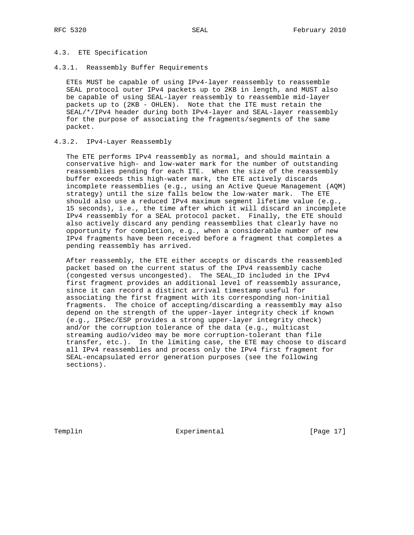## 4.3. ETE Specification

4.3.1. Reassembly Buffer Requirements

 ETEs MUST be capable of using IPv4-layer reassembly to reassemble SEAL protocol outer IPv4 packets up to 2KB in length, and MUST also be capable of using SEAL-layer reassembly to reassemble mid-layer packets up to (2KB - OHLEN). Note that the ITE must retain the SEAL/\*/IPv4 header during both IPv4-layer and SEAL-layer reassembly for the purpose of associating the fragments/segments of the same packet.

## 4.3.2. IPv4-Layer Reassembly

 The ETE performs IPv4 reassembly as normal, and should maintain a conservative high- and low-water mark for the number of outstanding reassemblies pending for each ITE. When the size of the reassembly buffer exceeds this high-water mark, the ETE actively discards incomplete reassemblies (e.g., using an Active Queue Management (AQM) strategy) until the size falls below the low-water mark. The ETE should also use a reduced IPv4 maximum segment lifetime value (e.g., 15 seconds), i.e., the time after which it will discard an incomplete IPv4 reassembly for a SEAL protocol packet. Finally, the ETE should also actively discard any pending reassemblies that clearly have no opportunity for completion, e.g., when a considerable number of new IPv4 fragments have been received before a fragment that completes a pending reassembly has arrived.

 After reassembly, the ETE either accepts or discards the reassembled packet based on the current status of the IPv4 reassembly cache (congested versus uncongested). The SEAL\_ID included in the IPv4 first fragment provides an additional level of reassembly assurance, since it can record a distinct arrival timestamp useful for associating the first fragment with its corresponding non-initial fragments. The choice of accepting/discarding a reassembly may also depend on the strength of the upper-layer integrity check if known (e.g., IPSec/ESP provides a strong upper-layer integrity check) and/or the corruption tolerance of the data (e.g., multicast streaming audio/video may be more corruption-tolerant than file transfer, etc.). In the limiting case, the ETE may choose to discard all IPv4 reassemblies and process only the IPv4 first fragment for SEAL-encapsulated error generation purposes (see the following sections).

Templin **Experimental** Experimental [Page 17]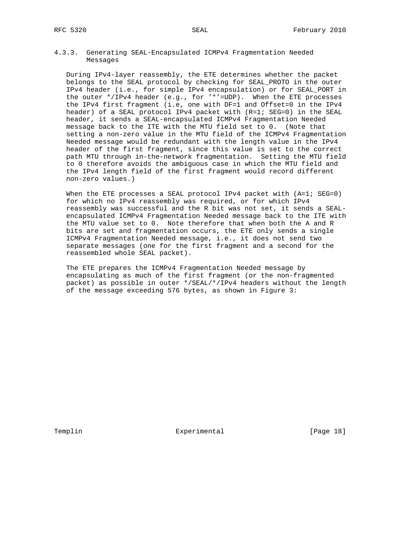## 4.3.3. Generating SEAL-Encapsulated ICMPv4 Fragmentation Needed Messages

 During IPv4-layer reassembly, the ETE determines whether the packet belongs to the SEAL protocol by checking for SEAL\_PROTO in the outer IPv4 header (i.e., for simple IPv4 encapsulation) or for SEAL\_PORT in the outer \*/IPv4 header (e.g., for '\*'=UDP). When the ETE processes the IPv4 first fragment (i.e, one with DF=1 and Offset=0 in the IPv4 header) of a SEAL protocol IPv4 packet with (R=1; SEG=0) in the SEAL header, it sends a SEAL-encapsulated ICMPv4 Fragmentation Needed message back to the ITE with the MTU field set to 0. (Note that setting a non-zero value in the MTU field of the ICMPv4 Fragmentation Needed message would be redundant with the length value in the IPv4 header of the first fragment, since this value is set to the correct path MTU through in-the-network fragmentation. Setting the MTU field to 0 therefore avoids the ambiguous case in which the MTU field and the IPv4 length field of the first fragment would record different non-zero values.)

When the ETE processes a SEAL protocol IPv4 packet with (A=1; SEG=0) for which no IPv4 reassembly was required, or for which IPv4 reassembly was successful and the R bit was not set, it sends a SEAL encapsulated ICMPv4 Fragmentation Needed message back to the ITE with the MTU value set to 0. Note therefore that when both the A and R bits are set and fragmentation occurs, the ETE only sends a single ICMPv4 Fragmentation Needed message, i.e., it does not send two separate messages (one for the first fragment and a second for the reassembled whole SEAL packet).

 The ETE prepares the ICMPv4 Fragmentation Needed message by encapsulating as much of the first fragment (or the non-fragmented packet) as possible in outer \*/SEAL/\*/IPv4 headers without the length of the message exceeding 576 bytes, as shown in Figure 3:

Templin **Experimental** Experimental [Page 18]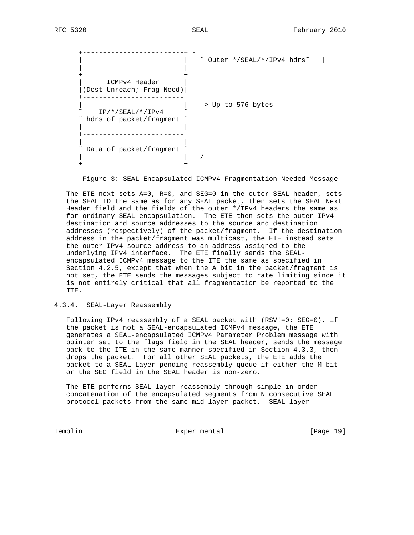+-------------------------+ - | | ˜ Outer \*/SEAL/\*/IPv4 hdrs˜ | | | | +-------------------------+ | | ICMPv4 Header | | |(Dest Unreach; Frag Need)| | +-------------------------+ | | | > Up to 576 bytes  $\sim$  IP/\*/SEAL/\*/IPv4  $\sim$  | ~ hdrs of packet/fragment ~ | | | +-------------------------+ | | | |  $\tilde{ }$  Data of packet/fragment  $\tilde{ }$  | | / +-------------------------+ -

Figure 3: SEAL-Encapsulated ICMPv4 Fragmentation Needed Message

 The ETE next sets A=0, R=0, and SEG=0 in the outer SEAL header, sets the SEAL\_ID the same as for any SEAL packet, then sets the SEAL Next Header field and the fields of the outer \*/IPv4 headers the same as for ordinary SEAL encapsulation. The ETE then sets the outer IPv4 destination and source addresses to the source and destination addresses (respectively) of the packet/fragment. If the destination address in the packet/fragment was multicast, the ETE instead sets the outer IPv4 source address to an address assigned to the underlying IPv4 interface. The ETE finally sends the SEAL encapsulated ICMPv4 message to the ITE the same as specified in Section 4.2.5, except that when the A bit in the packet/fragment is not set, the ETE sends the messages subject to rate limiting since it is not entirely critical that all fragmentation be reported to the ITE.

## 4.3.4. SEAL-Layer Reassembly

Following IPv4 reassembly of a SEAL packet with (RSV!=0; SEG=0), if the packet is not a SEAL-encapsulated ICMPv4 message, the ETE generates a SEAL-encapsulated ICMPv4 Parameter Problem message with pointer set to the flags field in the SEAL header, sends the message back to the ITE in the same manner specified in Section 4.3.3, then drops the packet. For all other SEAL packets, the ETE adds the packet to a SEAL-Layer pending-reassembly queue if either the M bit or the SEG field in the SEAL header is non-zero.

 The ETE performs SEAL-layer reassembly through simple in-order concatenation of the encapsulated segments from N consecutive SEAL protocol packets from the same mid-layer packet. SEAL-layer

Templin **Experimental** Experimental [Page 19]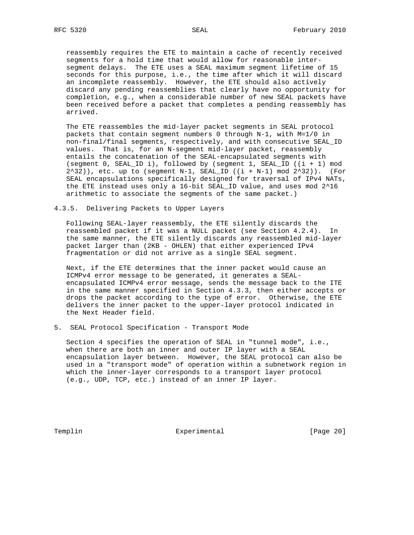reassembly requires the ETE to maintain a cache of recently received segments for a hold time that would allow for reasonable inter segment delays. The ETE uses a SEAL maximum segment lifetime of 15 seconds for this purpose, i.e., the time after which it will discard an incomplete reassembly. However, the ETE should also actively discard any pending reassemblies that clearly have no opportunity for completion, e.g., when a considerable number of new SEAL packets have been received before a packet that completes a pending reassembly has arrived.

 The ETE reassembles the mid-layer packet segments in SEAL protocol packets that contain segment numbers 0 through N-1, with M=1/0 in non-final/final segments, respectively, and with consecutive SEAL\_ID values. That is, for an N-segment mid-layer packet, reassembly entails the concatenation of the SEAL-encapsulated segments with (segment 0, SEAL\_ID i), followed by (segment 1, SEAL\_ID ((i + 1) mod  $2^32)$ ), etc. up to (segment N-1, SEAL\_ID ((i + N-1) mod  $2^332$ )). (For SEAL encapsulations specifically designed for traversal of IPv4 NATs, the ETE instead uses only a 16-bit SEAL\_ID value, and uses mod 2^16 arithmetic to associate the segments of the same packet.)

4.3.5. Delivering Packets to Upper Layers

 Following SEAL-layer reassembly, the ETE silently discards the reassembled packet if it was a NULL packet (see Section 4.2.4). In the same manner, the ETE silently discards any reassembled mid-layer packet larger than (2KB - OHLEN) that either experienced IPv4 fragmentation or did not arrive as a single SEAL segment.

 Next, if the ETE determines that the inner packet would cause an ICMPv4 error message to be generated, it generates a SEAL encapsulated ICMPv4 error message, sends the message back to the ITE in the same manner specified in Section 4.3.3, then either accepts or drops the packet according to the type of error. Otherwise, the ETE delivers the inner packet to the upper-layer protocol indicated in the Next Header field.

5. SEAL Protocol Specification - Transport Mode

 Section 4 specifies the operation of SEAL in "tunnel mode", i.e., when there are both an inner and outer IP layer with a SEAL encapsulation layer between. However, the SEAL protocol can also be used in a "transport mode" of operation within a subnetwork region in which the inner-layer corresponds to a transport layer protocol (e.g., UDP, TCP, etc.) instead of an inner IP layer.

Templin Experimental Experimental [Page 20]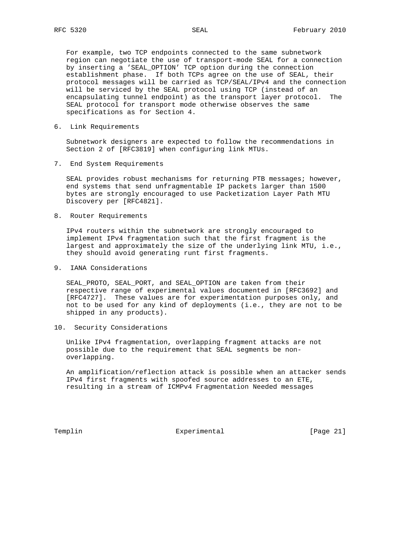For example, two TCP endpoints connected to the same subnetwork region can negotiate the use of transport-mode SEAL for a connection by inserting a 'SEAL\_OPTION' TCP option during the connection establishment phase. If both TCPs agree on the use of SEAL, their protocol messages will be carried as TCP/SEAL/IPv4 and the connection will be serviced by the SEAL protocol using TCP (instead of an encapsulating tunnel endpoint) as the transport layer protocol. The SEAL protocol for transport mode otherwise observes the same specifications as for Section 4.

6. Link Requirements

 Subnetwork designers are expected to follow the recommendations in Section 2 of [RFC3819] when configuring link MTUs.

7. End System Requirements

 SEAL provides robust mechanisms for returning PTB messages; however, end systems that send unfragmentable IP packets larger than 1500 bytes are strongly encouraged to use Packetization Layer Path MTU Discovery per [RFC4821].

8. Router Requirements

 IPv4 routers within the subnetwork are strongly encouraged to implement IPv4 fragmentation such that the first fragment is the largest and approximately the size of the underlying link MTU, i.e., they should avoid generating runt first fragments.

9. IANA Considerations

 SEAL\_PROTO, SEAL\_PORT, and SEAL\_OPTION are taken from their respective range of experimental values documented in [RFC3692] and [RFC4727]. These values are for experimentation purposes only, and not to be used for any kind of deployments (i.e., they are not to be shipped in any products).

10. Security Considerations

 Unlike IPv4 fragmentation, overlapping fragment attacks are not possible due to the requirement that SEAL segments be non overlapping.

 An amplification/reflection attack is possible when an attacker sends IPv4 first fragments with spoofed source addresses to an ETE, resulting in a stream of ICMPv4 Fragmentation Needed messages

Templin Experimental [Page 21]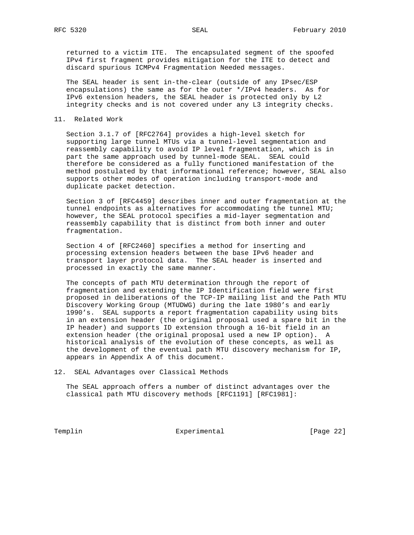returned to a victim ITE. The encapsulated segment of the spoofed IPv4 first fragment provides mitigation for the ITE to detect and discard spurious ICMPv4 Fragmentation Needed messages.

 The SEAL header is sent in-the-clear (outside of any IPsec/ESP encapsulations) the same as for the outer \*/IPv4 headers. As for IPv6 extension headers, the SEAL header is protected only by L2 integrity checks and is not covered under any L3 integrity checks.

## 11. Related Work

 Section 3.1.7 of [RFC2764] provides a high-level sketch for supporting large tunnel MTUs via a tunnel-level segmentation and reassembly capability to avoid IP level fragmentation, which is in part the same approach used by tunnel-mode SEAL. SEAL could therefore be considered as a fully functioned manifestation of the method postulated by that informational reference; however, SEAL also supports other modes of operation including transport-mode and duplicate packet detection.

 Section 3 of [RFC4459] describes inner and outer fragmentation at the tunnel endpoints as alternatives for accommodating the tunnel MTU; however, the SEAL protocol specifies a mid-layer segmentation and reassembly capability that is distinct from both inner and outer fragmentation.

 Section 4 of [RFC2460] specifies a method for inserting and processing extension headers between the base IPv6 header and transport layer protocol data. The SEAL header is inserted and processed in exactly the same manner.

 The concepts of path MTU determination through the report of fragmentation and extending the IP Identification field were first proposed in deliberations of the TCP-IP mailing list and the Path MTU Discovery Working Group (MTUDWG) during the late 1980's and early 1990's. SEAL supports a report fragmentation capability using bits in an extension header (the original proposal used a spare bit in the IP header) and supports ID extension through a 16-bit field in an extension header (the original proposal used a new IP option). A historical analysis of the evolution of these concepts, as well as the development of the eventual path MTU discovery mechanism for IP, appears in Appendix A of this document.

12. SEAL Advantages over Classical Methods

 The SEAL approach offers a number of distinct advantages over the classical path MTU discovery methods [RFC1191] [RFC1981]:

Templin Experimental Experimental [Page 22]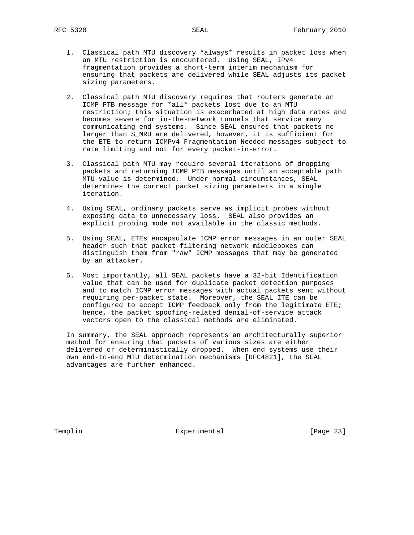- 1. Classical path MTU discovery \*always\* results in packet loss when an MTU restriction is encountered. Using SEAL, IPv4 fragmentation provides a short-term interim mechanism for ensuring that packets are delivered while SEAL adjusts its packet sizing parameters.
- 2. Classical path MTU discovery requires that routers generate an ICMP PTB message for \*all\* packets lost due to an MTU restriction; this situation is exacerbated at high data rates and becomes severe for in-the-network tunnels that service many communicating end systems. Since SEAL ensures that packets no larger than S\_MRU are delivered, however, it is sufficient for the ETE to return ICMPv4 Fragmentation Needed messages subject to rate limiting and not for every packet-in-error.
- 3. Classical path MTU may require several iterations of dropping packets and returning ICMP PTB messages until an acceptable path MTU value is determined. Under normal circumstances, SEAL determines the correct packet sizing parameters in a single iteration.
- 4. Using SEAL, ordinary packets serve as implicit probes without exposing data to unnecessary loss. SEAL also provides an explicit probing mode not available in the classic methods.
- 5. Using SEAL, ETEs encapsulate ICMP error messages in an outer SEAL header such that packet-filtering network middleboxes can distinguish them from "raw" ICMP messages that may be generated by an attacker.
- 6. Most importantly, all SEAL packets have a 32-bit Identification value that can be used for duplicate packet detection purposes and to match ICMP error messages with actual packets sent without requiring per-packet state. Moreover, the SEAL ITE can be configured to accept ICMP feedback only from the legitimate ETE; hence, the packet spoofing-related denial-of-service attack vectors open to the classical methods are eliminated.

 In summary, the SEAL approach represents an architecturally superior method for ensuring that packets of various sizes are either delivered or deterministically dropped. When end systems use their own end-to-end MTU determination mechanisms [RFC4821], the SEAL advantages are further enhanced.

Templin **Experimental** Experimental [Page 23]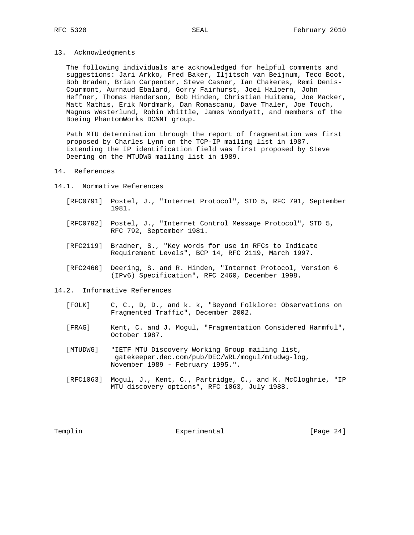13. Acknowledgments

 The following individuals are acknowledged for helpful comments and suggestions: Jari Arkko, Fred Baker, Iljitsch van Beijnum, Teco Boot, Bob Braden, Brian Carpenter, Steve Casner, Ian Chakeres, Remi Denis- Courmont, Aurnaud Ebalard, Gorry Fairhurst, Joel Halpern, John Heffner, Thomas Henderson, Bob Hinden, Christian Huitema, Joe Macker, Matt Mathis, Erik Nordmark, Dan Romascanu, Dave Thaler, Joe Touch, Magnus Westerlund, Robin Whittle, James Woodyatt, and members of the Boeing PhantomWorks DC&NT group.

 Path MTU determination through the report of fragmentation was first proposed by Charles Lynn on the TCP-IP mailing list in 1987. Extending the IP identification field was first proposed by Steve Deering on the MTUDWG mailing list in 1989.

## 14. References

- 14.1. Normative References
	- [RFC0791] Postel, J., "Internet Protocol", STD 5, RFC 791, September 1981.
	- [RFC0792] Postel, J., "Internet Control Message Protocol", STD 5, RFC 792, September 1981.
	- [RFC2119] Bradner, S., "Key words for use in RFCs to Indicate Requirement Levels", BCP 14, RFC 2119, March 1997.
	- [RFC2460] Deering, S. and R. Hinden, "Internet Protocol, Version 6 (IPv6) Specification", RFC 2460, December 1998.
- 14.2. Informative References
	- [FOLK] C, C., D, D., and k. k, "Beyond Folklore: Observations on Fragmented Traffic", December 2002.
	- [FRAG] Kent, C. and J. Mogul, "Fragmentation Considered Harmful", October 1987.
	- [MTUDWG] "IETF MTU Discovery Working Group mailing list, gatekeeper.dec.com/pub/DEC/WRL/mogul/mtudwg-log, November 1989 - February 1995.".
	- [RFC1063] Mogul, J., Kent, C., Partridge, C., and K. McCloghrie, "IP MTU discovery options", RFC 1063, July 1988.

Templin **Experimental** Experimental [Page 24]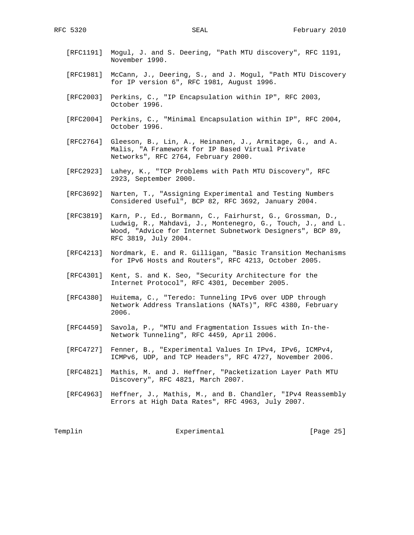- [RFC1191] Mogul, J. and S. Deering, "Path MTU discovery", RFC 1191, November 1990.
- [RFC1981] McCann, J., Deering, S., and J. Mogul, "Path MTU Discovery for IP version 6", RFC 1981, August 1996.
- [RFC2003] Perkins, C., "IP Encapsulation within IP", RFC 2003, October 1996.
- [RFC2004] Perkins, C., "Minimal Encapsulation within IP", RFC 2004, October 1996.
- [RFC2764] Gleeson, B., Lin, A., Heinanen, J., Armitage, G., and A. Malis, "A Framework for IP Based Virtual Private Networks", RFC 2764, February 2000.
- [RFC2923] Lahey, K., "TCP Problems with Path MTU Discovery", RFC 2923, September 2000.
- [RFC3692] Narten, T., "Assigning Experimental and Testing Numbers Considered Useful", BCP 82, RFC 3692, January 2004.
- [RFC3819] Karn, P., Ed., Bormann, C., Fairhurst, G., Grossman, D., Ludwig, R., Mahdavi, J., Montenegro, G., Touch, J., and L. Wood, "Advice for Internet Subnetwork Designers", BCP 89, RFC 3819, July 2004.
- [RFC4213] Nordmark, E. and R. Gilligan, "Basic Transition Mechanisms for IPv6 Hosts and Routers", RFC 4213, October 2005.
- [RFC4301] Kent, S. and K. Seo, "Security Architecture for the Internet Protocol", RFC 4301, December 2005.
- [RFC4380] Huitema, C., "Teredo: Tunneling IPv6 over UDP through Network Address Translations (NATs)", RFC 4380, February 2006.
- [RFC4459] Savola, P., "MTU and Fragmentation Issues with In-the- Network Tunneling", RFC 4459, April 2006.
- [RFC4727] Fenner, B., "Experimental Values In IPv4, IPv6, ICMPv4, ICMPv6, UDP, and TCP Headers", RFC 4727, November 2006.
- [RFC4821] Mathis, M. and J. Heffner, "Packetization Layer Path MTU Discovery", RFC 4821, March 2007.
- [RFC4963] Heffner, J., Mathis, M., and B. Chandler, "IPv4 Reassembly Errors at High Data Rates", RFC 4963, July 2007.

Templin Experimental [Page 25]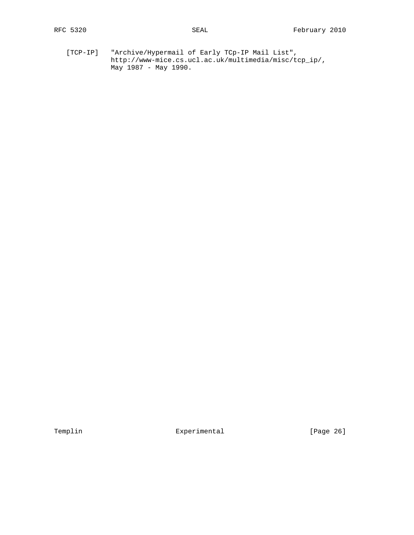[TCP-IP] "Archive/Hypermail of Early TCp-IP Mail List", http://www-mice.cs.ucl.ac.uk/multimedia/misc/tcp\_ip/, May 1987 - May 1990.

Templin Experimental Experimental [Page 26]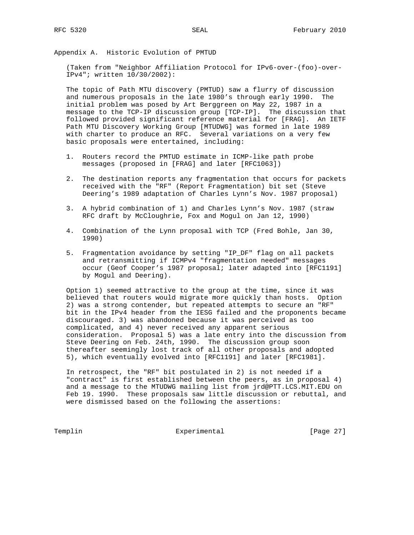Appendix A. Historic Evolution of PMTUD

 (Taken from "Neighbor Affiliation Protocol for IPv6-over-(foo)-over- IPv4"; written 10/30/2002):

 The topic of Path MTU discovery (PMTUD) saw a flurry of discussion and numerous proposals in the late 1980's through early 1990. The initial problem was posed by Art Berggreen on May 22, 1987 in a message to the TCP-IP discussion group [TCP-IP]. The discussion that followed provided significant reference material for [FRAG]. An IETF Path MTU Discovery Working Group [MTUDWG] was formed in late 1989 with charter to produce an RFC. Several variations on a very few basic proposals were entertained, including:

- 1. Routers record the PMTUD estimate in ICMP-like path probe messages (proposed in [FRAG] and later [RFC1063])
- 2. The destination reports any fragmentation that occurs for packets received with the "RF" (Report Fragmentation) bit set (Steve Deering's 1989 adaptation of Charles Lynn's Nov. 1987 proposal)
- 3. A hybrid combination of 1) and Charles Lynn's Nov. 1987 (straw RFC draft by McCloughrie, Fox and Mogul on Jan 12, 1990)
- 4. Combination of the Lynn proposal with TCP (Fred Bohle, Jan 30, 1990)
- 5. Fragmentation avoidance by setting "IP\_DF" flag on all packets and retransmitting if ICMPv4 "fragmentation needed" messages occur (Geof Cooper's 1987 proposal; later adapted into [RFC1191] by Mogul and Deering).

 Option 1) seemed attractive to the group at the time, since it was believed that routers would migrate more quickly than hosts. Option 2) was a strong contender, but repeated attempts to secure an "RF" bit in the IPv4 header from the IESG failed and the proponents became discouraged. 3) was abandoned because it was perceived as too complicated, and 4) never received any apparent serious consideration. Proposal 5) was a late entry into the discussion from Steve Deering on Feb. 24th, 1990. The discussion group soon thereafter seemingly lost track of all other proposals and adopted 5), which eventually evolved into [RFC1191] and later [RFC1981].

 In retrospect, the "RF" bit postulated in 2) is not needed if a "contract" is first established between the peers, as in proposal 4) and a message to the MTUDWG mailing list from jrd@PTT.LCS.MIT.EDU on Feb 19. 1990. These proposals saw little discussion or rebuttal, and were dismissed based on the following the assertions:

Templin Experimental [Page 27]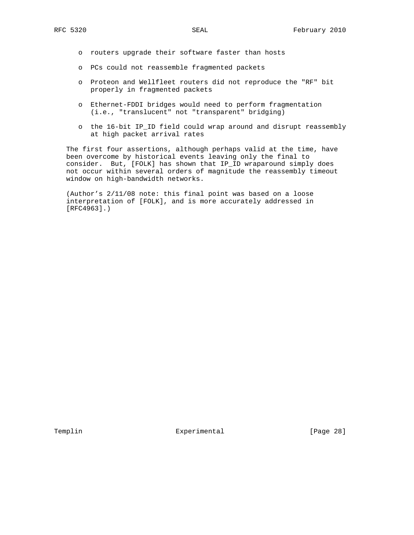- o routers upgrade their software faster than hosts
- o PCs could not reassemble fragmented packets
- o Proteon and Wellfleet routers did not reproduce the "RF" bit properly in fragmented packets
- o Ethernet-FDDI bridges would need to perform fragmentation (i.e., "translucent" not "transparent" bridging)
- o the 16-bit IP\_ID field could wrap around and disrupt reassembly at high packet arrival rates

 The first four assertions, although perhaps valid at the time, have been overcome by historical events leaving only the final to consider. But, [FOLK] has shown that IP\_ID wraparound simply does not occur within several orders of magnitude the reassembly timeout window on high-bandwidth networks.

 (Author's 2/11/08 note: this final point was based on a loose interpretation of [FOLK], and is more accurately addressed in [RFC4963].)

Templin **Experimental** Experimental [Page 28]